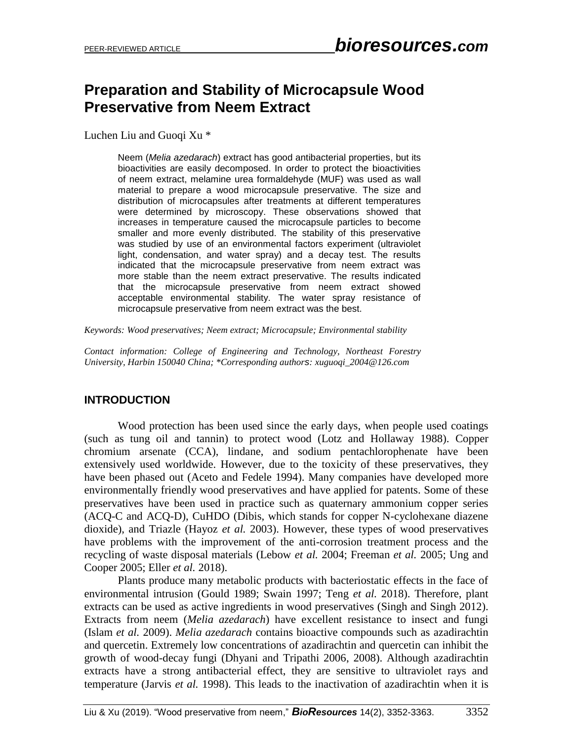# **Preparation and Stability of Microcapsule Wood Preservative from Neem Extract**

Luchen Liu and Guogi Xu<sup>\*</sup>

Neem (*Melia azedarach*) extract has good antibacterial properties, but its bioactivities are easily decomposed. In order to protect the bioactivities of neem extract, melamine urea formaldehyde (MUF) was used as wall material to prepare a wood microcapsule preservative. The size and distribution of microcapsules after treatments at different temperatures were determined by microscopy. These observations showed that increases in temperature caused the microcapsule particles to become smaller and more evenly distributed. The stability of this preservative was studied by use of an environmental factors experiment (ultraviolet light, condensation, and water spray) and a decay test. The results indicated that the microcapsule preservative from neem extract was more stable than the neem extract preservative. The results indicated that the microcapsule preservative from neem extract showed acceptable environmental stability. The water spray resistance of microcapsule preservative from neem extract was the best.

*Keywords: Wood preservatives; Neem extract; Microcapsule; Environmental stability*

*Contact information: College of Engineering and Technology, Northeast Forestry University, Harbin 150040 China; \*Corresponding authors: xuguoqi\_2004@126.com*

## **INTRODUCTION**

Wood protection has been used since the early days, when people used coatings (such as tung oil and tannin) to protect wood (Lotz and Hollaway 1988). Copper chromium arsenate (CCA), lindane, and sodium pentachlorophenate have been extensively used worldwide. However, due to the toxicity of these preservatives, they have been phased out (Aceto and Fedele 1994). Many companies have developed more environmentally friendly wood preservatives and have applied for patents. Some of these preservatives have been used in practice such as quaternary ammonium copper series (ACQ-C and ACQ-D), CuHDO (Dibis, which stands for copper N-cyclohexane diazene dioxide), and Triazle (Hayoz *et al.* 2003). However, these types of wood preservatives have problems with the improvement of the anti-corrosion treatment process and the recycling of waste disposal materials (Lebow *et al.* 2004; Freeman *et al.* 2005; Ung and Cooper 2005; Eller *et al.* 2018).

Plants produce many metabolic products with bacteriostatic effects in the face of environmental intrusion (Gould 1989; Swain 1997; Teng *et al.* 2018). Therefore, plant extracts can be used as active ingredients in wood preservatives (Singh and Singh 2012). Extracts from neem (*Melia azedarach*) have excellent resistance to insect and fungi (Islam *et al.* 2009). *Melia azedarach* contains bioactive compounds such as azadirachtin and quercetin. Extremely low concentrations of azadirachtin and quercetin can inhibit the growth of wood-decay fungi (Dhyani and Tripathi 2006, 2008). Although azadirachtin extracts have a strong antibacterial effect, they are sensitive to ultraviolet rays and temperature (Jarvis *et al.* 1998). This leads to the inactivation of azadirachtin when it is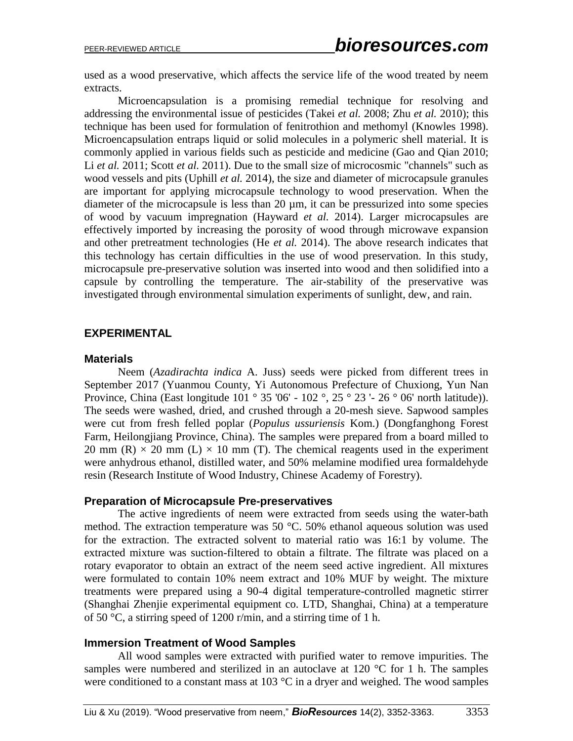used as a wood preservative, which affects the service life of the wood treated by neem extracts.

Microencapsulation is a promising remedial technique for resolving and addressing the environmental issue of pesticides (Takei *et al.* 2008; Zhu *et al.* 2010); this technique has been used for formulation of fenitrothion and methomyl (Knowles 1998). Microencapsulation entraps liquid or solid molecules in a polymeric shell material. It is commonly applied in various fields such as pesticide and medicine (Gao and Qian 2010; Li *et al.* 2011; Scott *et al.* 2011). Due to the small size of microcosmic "channels" such as wood vessels and pits (Uphill *et al.* 2014), the size and diameter of microcapsule granules are important for applying microcapsule technology to wood preservation. When the diameter of the microcapsule is less than 20 µm, it can be pressurized into some species of wood by vacuum impregnation (Hayward *et al.* 2014). Larger microcapsules are effectively imported by increasing the porosity of wood through microwave expansion and other pretreatment technologies (He *et al.* 2014). The above research indicates that this technology has certain difficulties in the use of wood preservation. In this study, microcapsule pre-preservative solution was inserted into wood and then solidified into a capsule by controlling the temperature. The air-stability of the preservative was investigated through environmental simulation experiments of sunlight, dew, and rain.

#### **EXPERIMENTAL**

#### **Materials**

Neem (*Azadirachta indica* A. Juss) seeds were picked from different trees in September 2017 (Yuanmou County, Yi Autonomous Prefecture of Chuxiong, Yun Nan Province, China (East longitude 101 ° 35 '06' - 102 °, 25 ° 23 '- 26 ° 06' north latitude)). The seeds were washed, dried, and crushed through a 20-mesh sieve. Sapwood samples were cut from fresh felled poplar (*Populus ussuriensis* Kom.) (Dongfanghong Forest Farm, Heilongjiang Province, China). The samples were prepared from a board milled to 20 mm (R)  $\times$  20 mm (L)  $\times$  10 mm (T). The chemical reagents used in the experiment were anhydrous ethanol, distilled water, and 50% melamine modified urea formaldehyde resin (Research Institute of Wood Industry, Chinese Academy of Forestry).

#### **Preparation of Microcapsule Pre-preservatives**

The active ingredients of neem were extracted from seeds using the water-bath method. The extraction temperature was 50 °C. 50% ethanol aqueous solution was used for the extraction. The extracted solvent to material ratio was 16:1 by volume. The extracted mixture was suction-filtered to obtain a filtrate. The filtrate was placed on a rotary evaporator to obtain an extract of the neem seed active ingredient. All mixtures were formulated to contain 10% neem extract and 10% MUF by weight. The mixture treatments were prepared using a 90-4 digital temperature-controlled magnetic stirrer (Shanghai Zhenjie experimental equipment co. LTD, Shanghai, China) at a temperature of 50 °C, a stirring speed of 1200 r/min, and a stirring time of 1 h.

#### **Immersion Treatment of Wood Samples**

All wood samples were extracted with purified water to remove impurities. The samples were numbered and sterilized in an autoclave at 120 °C for 1 h. The samples were conditioned to a constant mass at 103 °C in a dryer and weighed. The wood samples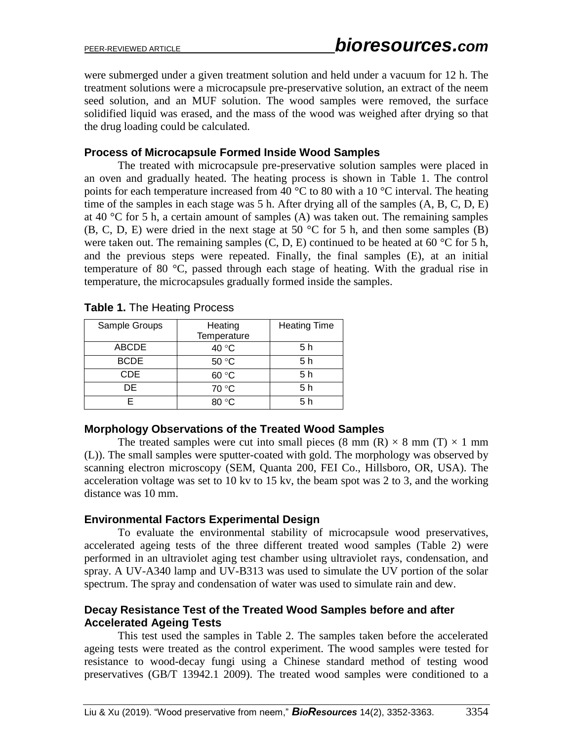were submerged under a given treatment solution and held under a vacuum for 12 h. The treatment solutions were a microcapsule pre-preservative solution, an extract of the neem seed solution, and an MUF solution. The wood samples were removed, the surface solidified liquid was erased, and the mass of the wood was weighed after drying so that the drug loading could be calculated.

## **Process of Microcapsule Formed Inside Wood Samples**

The treated with microcapsule pre-preservative solution samples were placed in an oven and gradually heated. The heating process is shown in Table 1. The control points for each temperature increased from 40  $\degree$ C to 80 with a 10  $\degree$ C interval. The heating time of the samples in each stage was 5 h. After drying all of the samples (A, B, C, D, E) at 40 °C for 5 h, a certain amount of samples (A) was taken out. The remaining samples (B, C, D, E) were dried in the next stage at 50 °C for 5 h, and then some samples (B) were taken out. The remaining samples  $(C, D, E)$  continued to be heated at 60 °C for 5 h, and the previous steps were repeated. Finally, the final samples (E), at an initial temperature of 80 °C, passed through each stage of heating. With the gradual rise in temperature, the microcapsules gradually formed inside the samples.

| Sample Groups | Heating     | <b>Heating Time</b> |
|---------------|-------------|---------------------|
|               | Temperature |                     |
| <b>ABCDE</b>  | 40 °C       | 5 h                 |
| <b>BCDE</b>   | 50 °C       | 5 <sub>h</sub>      |
| CDE.          | 60 °C       | 5 h                 |
| DE            | 70 °C       | 5 h                 |
|               | 80 °C       | 5 h                 |

|  |  |  |  | <b>Table 1. The Heating Process</b> |
|--|--|--|--|-------------------------------------|
|--|--|--|--|-------------------------------------|

## **Morphology Observations of the Treated Wood Samples**

The treated samples were cut into small pieces (8 mm (R)  $\times$  8 mm (T)  $\times$  1 mm (L)). The small samples were sputter-coated with gold. The morphology was observed by scanning electron microscopy (SEM, Quanta 200, FEI Co., Hillsboro, OR, USA). The acceleration voltage was set to 10 kv to 15 kv, the beam spot was 2 to 3, and the working distance was 10 mm.

## **Environmental Factors Experimental Design**

To evaluate the environmental stability of microcapsule wood preservatives, accelerated ageing tests of the three different treated wood samples (Table 2) were performed in an ultraviolet aging test chamber using ultraviolet rays, condensation, and spray. A UV-A340 lamp and UV-B313 was used to simulate the UV portion of the solar spectrum. The spray and condensation of water was used to simulate rain and dew.

## **Decay Resistance Test of the Treated Wood Samples before and after Accelerated Ageing Tests**

This test used the samples in Table 2. The samples taken before the accelerated ageing tests were treated as the control experiment. The wood samples were tested for resistance to wood-decay fungi using a Chinese standard method of testing wood preservatives (GB/T 13942.1 2009). The treated wood samples were conditioned to a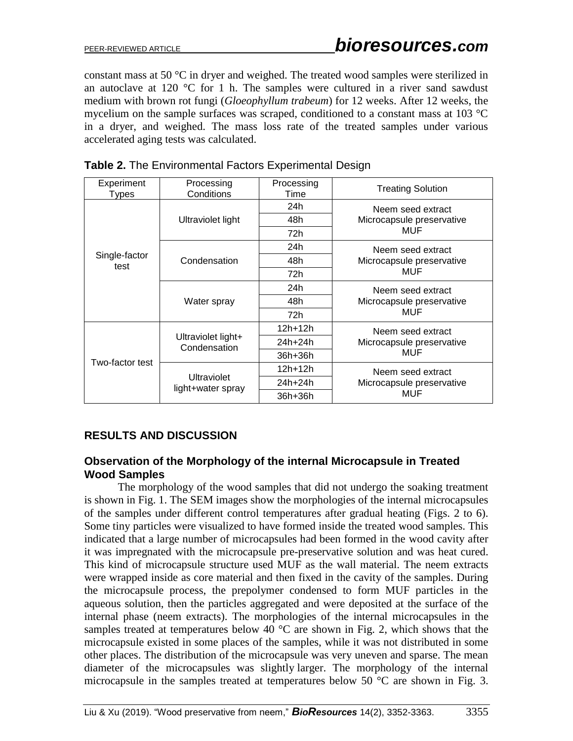constant mass at 50 °C in dryer and weighed. The treated wood samples were sterilized in an autoclave at 120  $\degree$ C for 1 h. The samples were cultured in a river sand sawdust medium with brown rot fungi (*Gloeophyllum trabeum*) for 12 weeks. After 12 weeks, the mycelium on the sample surfaces was scraped, conditioned to a constant mass at 103 °C in a dryer, and weighed. The mass loss rate of the treated samples under various accelerated aging tests was calculated.

| Experiment<br>Types   | Processing<br>Conditions           | Processing<br>Time | <b>Treating Solution</b>  |  |
|-----------------------|------------------------------------|--------------------|---------------------------|--|
|                       |                                    | 24h                | Neem seed extract         |  |
|                       | Ultraviolet light                  | 48h                | Microcapsule preservative |  |
|                       |                                    | 72h                | MUF                       |  |
|                       |                                    | 24h                | Neem seed extract         |  |
| Single-factor<br>test | Condensation                       | 48h                | Microcapsule preservative |  |
|                       |                                    | 72h                | MUF                       |  |
|                       |                                    | 24h                | Neem seed extract         |  |
|                       | Water spray                        | 48h                | Microcapsule preservative |  |
|                       |                                    | 72h                | MUF                       |  |
|                       |                                    | $12h + 12h$        | Neem seed extract         |  |
| Two-factor test       | Ultraviolet light+<br>Condensation | 24h+24h            | Microcapsule preservative |  |
|                       |                                    | $36h+36h$          | MUF                       |  |
|                       | Ultraviolet<br>light+water spray   | $12h + 12h$        | Neem seed extract         |  |
|                       |                                    | $24h + 24h$        | Microcapsule preservative |  |
|                       |                                    | 36h+36h            | MUF                       |  |

| Table 2. The Environmental Factors Experimental Design |  |  |
|--------------------------------------------------------|--|--|
|                                                        |  |  |
|                                                        |  |  |

# **RESULTS AND DISCUSSION**

## **Observation of the Morphology of the internal Microcapsule in Treated Wood Samples**

The morphology of the wood samples that did not undergo the soaking treatment is shown in Fig. 1. The SEM images show the morphologies of the internal microcapsules of the samples under different control temperatures after gradual heating (Figs. 2 to 6). Some tiny particles were visualized to have formed inside the treated wood samples. This indicated that a large number of microcapsules had been formed in the wood cavity after it was impregnated with the microcapsule pre-preservative solution and was heat cured. This kind of microcapsule structure used MUF as the wall material. The neem extracts were wrapped inside as core material and then fixed in the cavity of the samples. During the microcapsule process, the prepolymer condensed to form MUF particles in the aqueous solution, then the particles aggregated and were deposited at the surface of the internal phase (neem extracts). The morphologies of the internal microcapsules in the samples treated at temperatures below 40  $\degree$ C are shown in Fig. 2, which shows that the microcapsule existed in some places of the samples, while it was not distributed in some other places. The distribution of the microcapsule was very uneven and sparse. The mean diameter of the microcapsules was slightly larger. The morphology of the internal microcapsule in the samples treated at temperatures below 50 °C are shown in Fig. 3.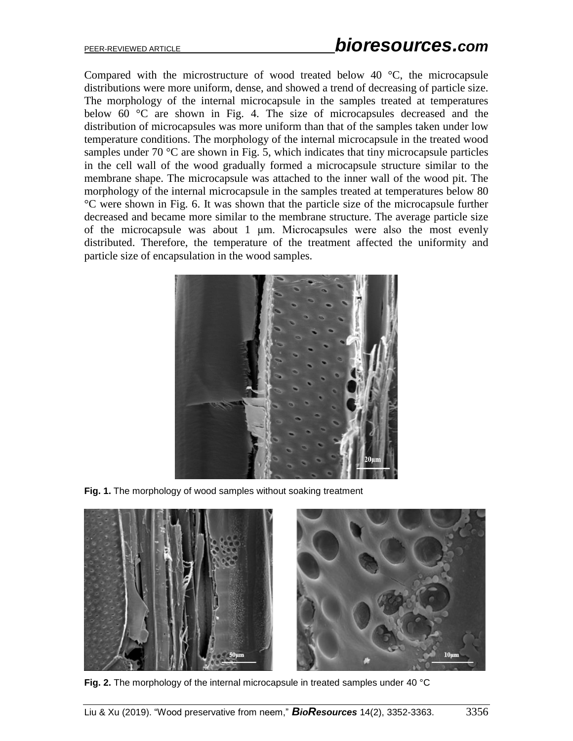Compared with the microstructure of wood treated below 40 °C, the microcapsule distributions were more uniform, dense, and showed a trend of decreasing of particle size. The morphology of the internal microcapsule in the samples treated at temperatures below 60 °C are shown in Fig. 4. The size of microcapsules decreased and the distribution of microcapsules was more uniform than that of the samples taken under low temperature conditions. The morphology of the internal microcapsule in the treated wood samples under 70  $\degree$ C are shown in Fig. 5, which indicates that tiny microcapsule particles in the cell wall of the wood gradually formed a microcapsule structure similar to the membrane shape. The microcapsule was attached to the inner wall of the wood pit. The morphology of the internal microcapsule in the samples treated at temperatures below 80 °C were shown in Fig. 6. It was shown that the particle size of the microcapsule further decreased and became more similar to the membrane structure. The average particle size of the microcapsule was about 1 μm. Microcapsules were also the most evenly distributed. Therefore, the temperature of the treatment affected the uniformity and particle size of encapsulation in the wood samples.



**Fig. 1.** The morphology of wood samples without soaking treatment



**Fig. 2.** The morphology of the internal microcapsule in treated samples under 40 °C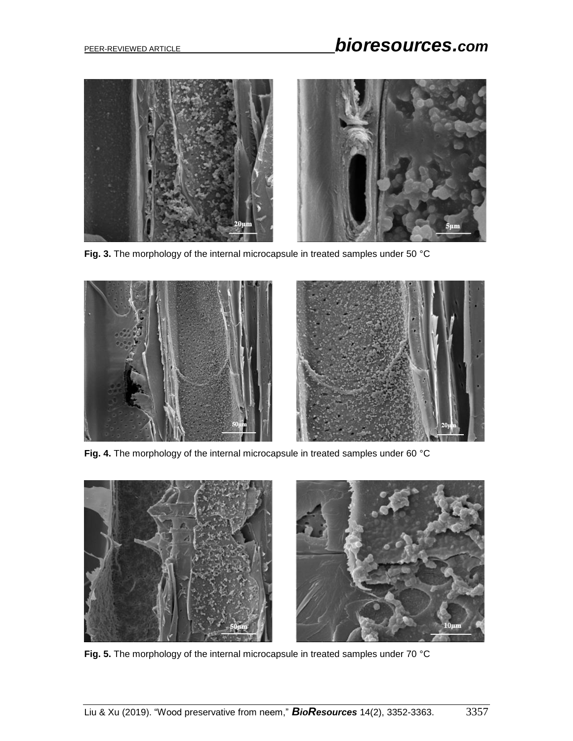

**Fig. 3.** The morphology of the internal microcapsule in treated samples under 50 °C



**Fig. 4.** The morphology of the internal microcapsule in treated samples under 60 °C



**Fig. 5.** The morphology of the internal microcapsule in treated samples under 70 °C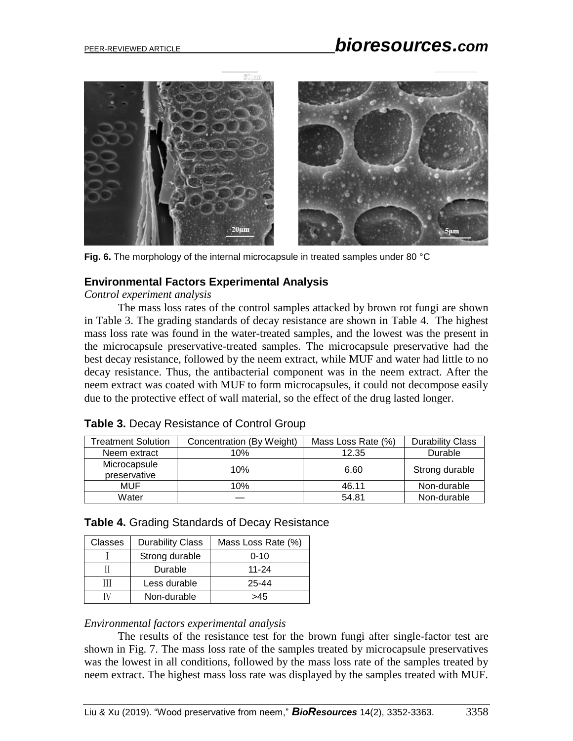

**Fig. 6.** The morphology of the internal microcapsule in treated samples under 80 °C

# **Environmental Factors Experimental Analysis**

*Control experiment analysis*

The mass loss rates of the control samples attacked by brown rot fungi are shown in Table 3. The grading standards of decay resistance are shown in Table 4. The highest mass loss rate was found in the water-treated samples, and the lowest was the present in the microcapsule preservative-treated samples. The microcapsule preservative had the best decay resistance, followed by the neem extract, while MUF and water had little to no decay resistance. Thus, the antibacterial component was in the neem extract. After the neem extract was coated with MUF to form microcapsules, it could not decompose easily due to the protective effect of wall material, so the effect of the drug lasted longer.

| Treatment Solution           | Concentration (By Weight) | Mass Loss Rate (%) | <b>Durability Class</b> |
|------------------------------|---------------------------|--------------------|-------------------------|
| Neem extract                 | 10%                       | 12.35              | Durable                 |
| Microcapsule<br>preservative | 10%                       | 6.60               | Strong durable          |
| MUF                          | 10%                       | 46.11              | Non-durable             |
| Water                        |                           | 54.81              | Non-durable             |

|  |  | Table 3. Decay Resistance of Control Group |  |  |
|--|--|--------------------------------------------|--|--|
|--|--|--------------------------------------------|--|--|

|  |  | Table 4. Grading Standards of Decay Resistance |
|--|--|------------------------------------------------|

| Classes | <b>Durability Class</b> | Mass Loss Rate (%) |
|---------|-------------------------|--------------------|
|         | Strong durable          | $0 - 10$           |
|         | Durable                 | 11-24              |
| Ш       | Less durable            | 25-44              |
|         | Non-durable             | >45                |

#### *Environmental factors experimental analysis*

The results of the resistance test for the brown fungi after single-factor test are shown in Fig. 7. The mass loss rate of the samples treated by microcapsule preservatives was the lowest in all conditions, followed by the mass loss rate of the samples treated by neem extract. The highest mass loss rate was displayed by the samples treated with MUF.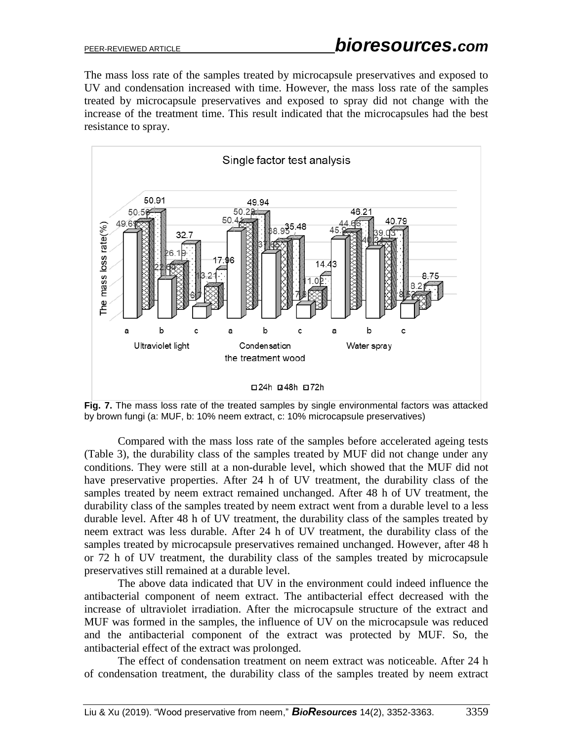The mass loss rate of the samples treated by microcapsule preservatives and exposed to UV and condensation increased with time. However, the mass loss rate of the samples treated by microcapsule preservatives and exposed to spray did not change with the increase of the treatment time. This result indicated that the microcapsules had the best resistance to spray.



**Fig. 7.** The mass loss rate of the treated samples by single environmental factors was attacked by brown fungi (a: MUF, b: 10% neem extract, c: 10% microcapsule preservatives)

Compared with the mass loss rate of the samples before accelerated ageing tests (Table 3), the durability class of the samples treated by MUF did not change under any conditions. They were still at a non-durable level, which showed that the MUF did not have preservative properties. After 24 h of UV treatment, the durability class of the samples treated by neem extract remained unchanged. After 48 h of UV treatment, the durability class of the samples treated by neem extract went from a durable level to a less durable level. After 48 h of UV treatment, the durability class of the samples treated by neem extract was less durable. After 24 h of UV treatment, the durability class of the samples treated by microcapsule preservatives remained unchanged. However, after 48 h or 72 h of UV treatment, the durability class of the samples treated by microcapsule preservatives still remained at a durable level.

The above data indicated that UV in the environment could indeed influence the antibacterial component of neem extract. The antibacterial effect decreased with the increase of ultraviolet irradiation. After the microcapsule structure of the extract and MUF was formed in the samples, the influence of UV on the microcapsule was reduced and the antibacterial component of the extract was protected by MUF. So, the antibacterial effect of the extract was prolonged.

The effect of condensation treatment on neem extract was noticeable. After 24 h of condensation treatment, the durability class of the samples treated by neem extract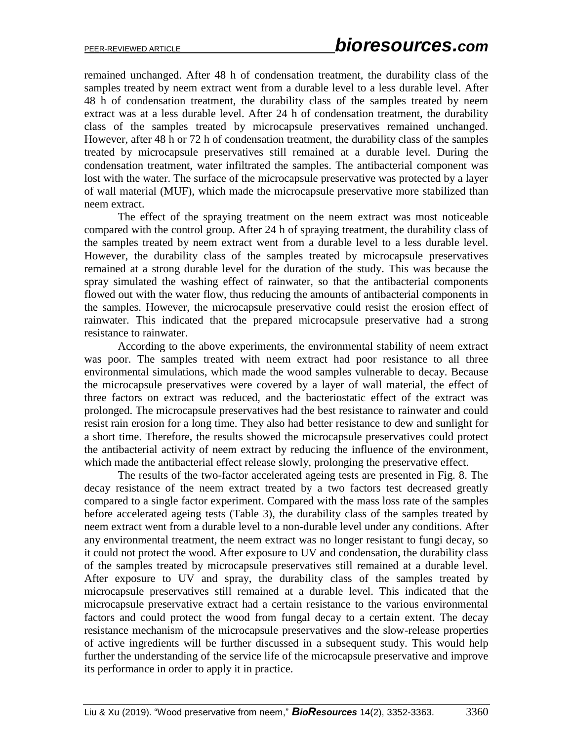remained unchanged. After 48 h of condensation treatment, the durability class of the samples treated by neem extract went from a durable level to a less durable level. After 48 h of condensation treatment, the durability class of the samples treated by neem extract was at a less durable level. After 24 h of condensation treatment, the durability class of the samples treated by microcapsule preservatives remained unchanged. However, after 48 h or 72 h of condensation treatment, the durability class of the samples treated by microcapsule preservatives still remained at a durable level. During the condensation treatment, water infiltrated the samples. The antibacterial component was lost with the water. The surface of the microcapsule preservative was protected by a layer of wall material (MUF), which made the microcapsule preservative more stabilized than neem extract.

The effect of the spraying treatment on the neem extract was most noticeable compared with the control group. After 24 h of spraying treatment, the durability class of the samples treated by neem extract went from a durable level to a less durable level. However, the durability class of the samples treated by microcapsule preservatives remained at a strong durable level for the duration of the study. This was because the spray simulated the washing effect of rainwater, so that the antibacterial components flowed out with the water flow, thus reducing the amounts of antibacterial components in the samples. However, the microcapsule preservative could resist the erosion effect of rainwater. This indicated that the prepared microcapsule preservative had a strong resistance to rainwater.

According to the above experiments, the environmental stability of neem extract was poor. The samples treated with neem extract had poor resistance to all three environmental simulations, which made the wood samples vulnerable to decay. Because the microcapsule preservatives were covered by a layer of wall material, the effect of three factors on extract was reduced, and the bacteriostatic effect of the extract was prolonged. The microcapsule preservatives had the best resistance to rainwater and could resist rain erosion for a long time. They also had better resistance to dew and sunlight for a short time. Therefore, the results showed the microcapsule preservatives could protect the antibacterial activity of neem extract by reducing the influence of the environment, which made the antibacterial effect release slowly, prolonging the preservative effect.

The results of the two-factor accelerated ageing tests are presented in Fig. 8. The decay resistance of the neem extract treated by a two factors test decreased greatly compared to a single factor experiment. Compared with the mass loss rate of the samples before accelerated ageing tests (Table 3), the durability class of the samples treated by neem extract went from a durable level to a non-durable level under any conditions. After any environmental treatment, the neem extract was no longer resistant to fungi decay, so it could not protect the wood. After exposure to UV and condensation, the durability class of the samples treated by microcapsule preservatives still remained at a durable level. After exposure to UV and spray, the durability class of the samples treated by microcapsule preservatives still remained at a durable level. This indicated that the microcapsule preservative extract had a certain resistance to the various environmental factors and could protect the wood from fungal decay to a certain extent. The decay resistance mechanism of the microcapsule preservatives and the slow-release properties of active ingredients will be further discussed in a subsequent study. This would help further the understanding of the service life of the microcapsule preservative and improve its performance in order to apply it in practice.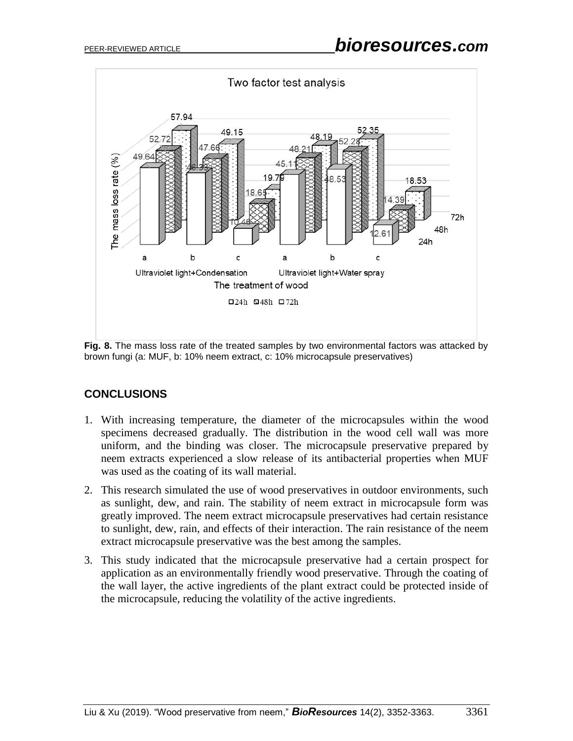

**Fig. 8.** The mass loss rate of the treated samples by two environmental factors was attacked by brown fungi (a: MUF, b: 10% neem extract, c: 10% microcapsule preservatives)

# **CONCLUSIONS**

- 1. With increasing temperature, the diameter of the microcapsules within the wood specimens decreased gradually. The distribution in the wood cell wall was more uniform, and the binding was closer. The microcapsule preservative prepared by neem extracts experienced a slow release of its antibacterial properties when MUF was used as the coating of its wall material.
- 2. This research simulated the use of wood preservatives in outdoor environments, such as sunlight, dew, and rain. The stability of neem extract in microcapsule form was greatly improved. The neem extract microcapsule preservatives had certain resistance to sunlight, dew, rain, and effects of their interaction. The rain resistance of the neem extract microcapsule preservative was the best among the samples.
- 3. This study indicated that the microcapsule preservative had a certain prospect for application as an environmentally friendly wood preservative. Through the coating of the wall layer, the active ingredients of the plant extract could be protected inside of the microcapsule, reducing the volatility of the active ingredients.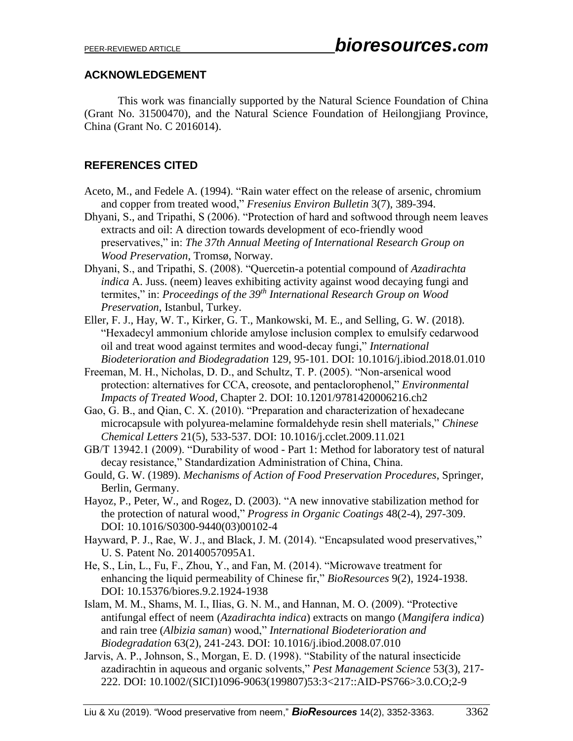## **ACKNOWLEDGEMENT**

This work was financially supported by the Natural Science Foundation of China (Grant No. 31500470), and the Natural Science Foundation of Heilongjiang Province, China (Grant No. C 2016014).

# **REFERENCES CITED**

- Aceto, M., and Fedele A. (1994). "Rain water effect on the release of arsenic, chromium and copper from treated wood," *Fresenius Environ Bulletin* 3(7), 389-394.
- Dhyani, S., and Tripathi, S (2006). "Protection of hard and softwood through neem leaves extracts and oil: A direction towards development of eco-friendly wood preservatives," in: *The 37th Annual Meeting of International Research Group on Wood Preservation*, Tromsø, Norway.
- Dhyani, S., and Tripathi, S. (2008). "Quercetin-a potential compound of *Azadirachta indica* A. Juss. (neem) leaves exhibiting activity against wood decaying fungi and termites," in: *Proceedings of the 39th International Research Group on Wood Preservation*, Istanbul, Turkey.
- Eller, F. J., Hay, W. T., Kirker, G. T., Mankowski, M. E., and Selling, G. W. (2018). "Hexadecyl ammonium chloride amylose inclusion complex to emulsify cedarwood oil and treat wood against termites and wood-decay fungi," *International Biodeterioration and Biodegradation* 129, 95-101. DOI: 10.1016/j.ibiod.2018.01.010

Freeman, M. H., Nicholas, D. D., and Schultz, T. P. (2005). "Non-arsenical wood protection: alternatives for CCA, creosote, and pentaclorophenol," *Environmental Impacts of Treated Wood*, Chapter 2. DOI: 10.1201/9781420006216.ch2

Gao, G. B., and Qian, C. X. (2010). "Preparation and characterization of hexadecane microcapsule with polyurea-melamine formaldehyde resin shell materials," *Chinese Chemical Letters* 21(5), 533-537. DOI: 10.1016/j.cclet.2009.11.021

GB/T 13942.1 (2009). "Durability of wood - Part 1: Method for laboratory test of natural decay resistance," Standardization Administration of China, China.

- Gould, G. W. (1989). *Mechanisms of Action of Food Preservation Procedures*, Springer, Berlin, Germany.
- Hayoz, P., Peter, W., and Rogez, D. (2003). "A new innovative stabilization method for the protection of natural wood," *Progress in Organic Coatings* 48(2-4), 297-309. DOI: [10.1016/S0300-9440\(03\)00102-4](http://dx.doi.org/10.1016/S0300-9440(03)00102-4)
- Hayward, P. J., Rae, W. J., and Black, J. M. (2014). "Encapsulated wood preservatives," U. S. Patent No. 20140057095A1.
- He, S., Lin, L., Fu, F., Zhou, Y., and Fan, M. (2014). "Microwave treatment for enhancing the liquid permeability of Chinese fir," *BioResources* 9(2), 1924-1938. DOI: 10.15376/biores.9.2.1924-1938
- Islam, M. M., Shams, M. I., Ilias, G. N. M., and Hannan, M. O. (2009). "Protective antifungal effect of neem (*Azadirachta indica*) extracts on mango (*Mangifera indica*) and rain tree (*Albizia saman*) wood," *International Biodeterioration and Biodegradation* 63(2), 241-243. DOI: 10.1016/j.ibiod.2008.07.010
- Jarvis, A. P., Johnson, S., Morgan, E. D. (1998). "Stability of the natural insecticide azadirachtin in aqueous and organic solvents," *Pest Management Science* 53(3), 217- 222. DOI: 10.1002/(SICI)1096-9063(199807)53:3<217::AID-PS766>3.0.CO;2-9